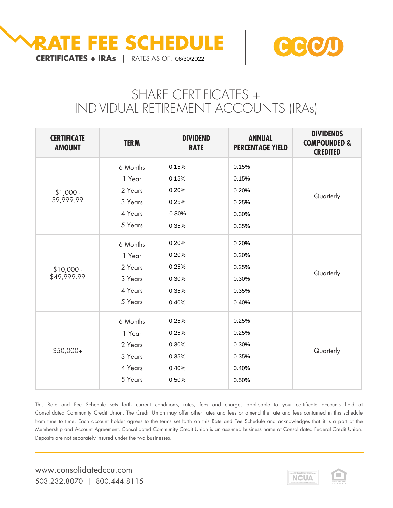



# SHARE CERTIFICATES + INDIVIDUAL RETIREMENT ACCOUNTS (IRAs)

| <b>CERTIFICATE</b><br><b>AMOUNT</b> | <b>TERM</b> | <b>DIVIDEND</b><br><b>RATE</b> | <b>ANNUAL</b><br><b>PERCENTAGE YIELD</b> | <b>DIVIDENDS</b><br><b>COMPOUNDED &amp;</b><br><b>CREDITED</b> |
|-------------------------------------|-------------|--------------------------------|------------------------------------------|----------------------------------------------------------------|
| $$1,000 -$<br>\$9,999.99            | 6 Months    | 0.15%                          | 0.15%                                    | Quarterly                                                      |
|                                     | 1 Year      | 0.15%                          | 0.15%                                    |                                                                |
|                                     | 2 Years     | 0.20%                          | 0.20%                                    |                                                                |
|                                     | 3 Years     | 0.25%                          | 0.25%                                    |                                                                |
|                                     | 4 Years     | 0.30%                          | 0.30%                                    |                                                                |
|                                     | 5 Years     | 0.35%                          | 0.35%                                    |                                                                |
| $$10,000 -$<br>\$49,999.99          | 6 Months    | 0.20%                          | 0.20%                                    | Quarterly                                                      |
|                                     | 1 Year      | 0.20%                          | 0.20%                                    |                                                                |
|                                     | 2 Years     | 0.25%                          | 0.25%                                    |                                                                |
|                                     | 3 Years     | 0.30%                          | 0.30%                                    |                                                                |
|                                     | 4 Years     | 0.35%                          | 0.35%                                    |                                                                |
|                                     | 5 Years     | 0.40%                          | 0.40%                                    |                                                                |
| $$50,000+$                          | 6 Months    | 0.25%                          | 0.25%                                    | Quarterly                                                      |
|                                     | 1 Year      | 0.25%                          | 0.25%                                    |                                                                |
|                                     | 2 Years     | 0.30%                          | 0.30%                                    |                                                                |
|                                     | 3 Years     | 0.35%                          | 0.35%                                    |                                                                |
|                                     | 4 Years     | 0.40%                          | 0.40%                                    |                                                                |
|                                     | 5 Years     | 0.50%                          | 0.50%                                    |                                                                |

This Rate and Fee Schedule sets forth current conditions, rates, fees and charges applicable to your certificate accounts held at Consolidated Community Credit Union. The Credit Union may offer other rates and fees or amend the rate and fees contained in this schedule from time to time. Each account holder agrees to the terms set forth on this Rate and Fee Schedule and acknowledges that it is a part of the Membership and Account Agreement. Consolidated Community Credit Union is an assumed business name of Consolidated Federal Credit Union. Deposits are not separately insured under the two businesses.